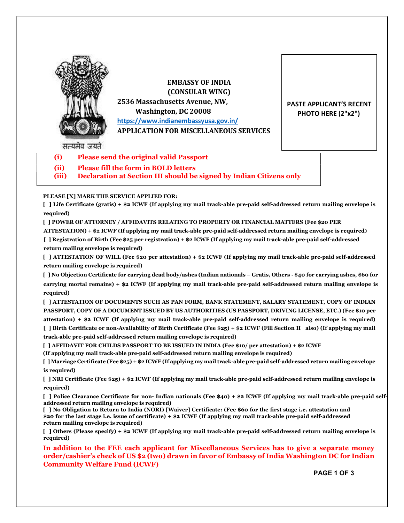

EMBASSY OF INDIA (CONSULAR WING) 2536 Massachusetts Avenue, NW, Washington, DC 20008 https://www.indianembassyusa.gov.in/ APPLICATION FOR MISCELLANEOUS SERVICES

PASTE APPLICANT'S RECENT PHOTO HERE (2"x2")

सत्यमेव जयते

- (i) Please send the original valid Passport
- (ii) Please fill the form in BOLD letters

(iii) Declaration at Section III should be signed by Indian Citizens only

## PLEASE [X] MARK THE SERVICE APPLIED FOR:

[ ] Life Certificate (gratis) + \$2 ICWF (If applying my mail track-able pre-paid self-addressed return mailing envelope is required)

[ ] POWER OF ATTORNEY / AFFIDAVITS RELATING TO PROPERTY OR FINANCIAL MATTERS (Fee \$20 PER

ATTESTATION) + \$2 ICWF (If applying my mail track-able pre-paid self-addressed return mailing envelope is required) [ ] Registration of Birth (Fee \$25 per registration) + \$2 ICWF (If applying my mail track-able pre-paid self-addressed return mailing envelope is required)

[ ] ATTESTATION OF WILL (Fee \$20 per attestation) + \$2 ICWF (If applying my mail track-able pre-paid self-addressed return mailing envelope is required)

[ ] No Objection Certificate for carrying dead body/ashes (Indian nationals – Gratis, Others ‐ \$40 for carrying ashes, \$60 for carrying mortal remains) + \$2 ICWF (If applying my mail track-able pre-paid self-addressed return mailing envelope is required)

[ ] ATTESTATION OF DOCUMENTS SUCH AS PAN FORM, BANK STATEMENT, SALARY STATEMENT, COPY OF INDIAN PASSPORT, COPY OF A DOCUMENT ISSUED BY US AUTHORITIES (US PASSPORT, DRIVING LICENSE, ETC.) (Fee \$10 per attestation) + \$2 ICWF (If applying my mail track-able pre-paid self-addressed return mailing envelope is required) [ ] Birth Certificate or non-Availability of Birth Certificate (Fee \$25) + \$2 ICWF (Fill Section II also) (If applying my mail track-able pre-paid self-addressed return mailing envelope is required)

[ ] AFFIDAVIT FOR CHILDS PASSPORT TO BE ISSUED IN INDIA (Fee \$10/ per attestation) + \$2 ICWF

(If applying my mail track-able pre-paid self-addressed return mailing envelope is required)

[ ] Marriage Certificate (Fee \$25) + \$2 ICWF (If applying my mail track-able pre-paid self-addressed return mailing envelope is required)

[ ] NRI Certificate (Fee \$25) + \$2 ICWF (If applying my mail track-able pre-paid self-addressed return mailing envelope is required)

[ ] Police Clearance Certificate for non- Indian nationals (Fee \$40) + \$2 ICWF (If applying my mail track-able pre-paid selfaddressed return mailing envelope is required)

[ ] No Obligation to Return to India (NORI) [Waiver] Certificate: (Fee \$60 for the first stage i.e. attestation and \$20 for the last stage i.e. issue of certificate) + \$2 ICWF (If applying my mail track-able pre-paid self-addressed return mailing envelope is required)

[ ] Others (Please specify) + \$2 ICWF (If applying my mail track-able pre-paid self-addressed return mailing envelope is required)

In addition to the FEE each applicant for Miscellaneous Services has to give a separate money order/cashier's check of US \$2 (two) drawn in favor of Embassy of India Washington DC for Indian Community Welfare Fund (ICWF)

PAGE 1 OF 3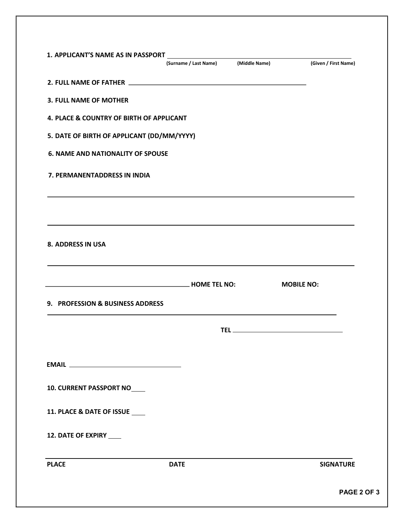|                                            | (Surname / Last Name) (Middle Name)                                                                                       | (Given / First Name) |
|--------------------------------------------|---------------------------------------------------------------------------------------------------------------------------|----------------------|
|                                            |                                                                                                                           |                      |
| <b>3. FULL NAME OF MOTHER</b>              |                                                                                                                           |                      |
| 4. PLACE & COUNTRY OF BIRTH OF APPLICANT   |                                                                                                                           |                      |
| 5. DATE OF BIRTH OF APPLICANT (DD/MM/YYYY) |                                                                                                                           |                      |
| <b>6. NAME AND NATIONALITY OF SPOUSE</b>   |                                                                                                                           |                      |
| 7. PERMANENTADDRESS IN INDIA               |                                                                                                                           |                      |
|                                            |                                                                                                                           |                      |
|                                            |                                                                                                                           |                      |
| <b>8. ADDRESS IN USA</b>                   |                                                                                                                           |                      |
|                                            |                                                                                                                           |                      |
|                                            | <b>HOME TEL NO:</b> NOTE: THE RESERVE THE RESERVE THE RESERVE THE RESERVE THE RESERVE THE RESERVE THE RESERVE THE RESERVE | <b>MOBILE NO:</b>    |
| 9. PROFESSION & BUSINESS ADDRESS           |                                                                                                                           |                      |
|                                            |                                                                                                                           |                      |
|                                            |                                                                                                                           |                      |
|                                            |                                                                                                                           |                      |
| <b>10. CURRENT PASSPORT NO</b>             |                                                                                                                           |                      |
|                                            |                                                                                                                           |                      |
| 11. PLACE & DATE OF ISSUE ____             |                                                                                                                           |                      |
| 12. DATE OF EXPIRY ____                    |                                                                                                                           |                      |